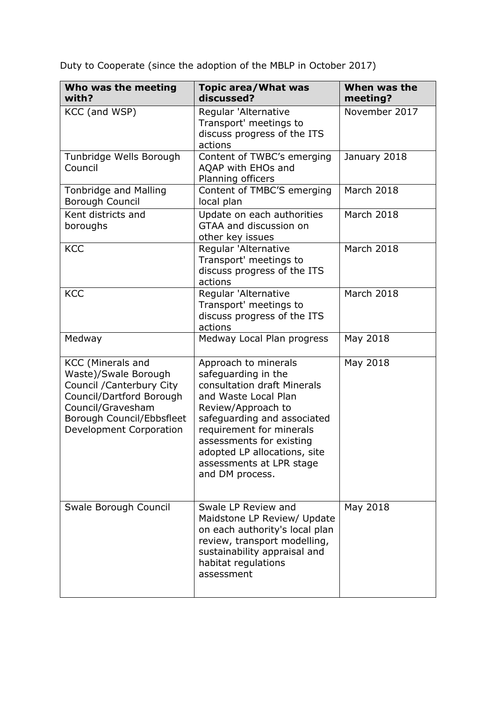Duty to Cooperate (since the adoption of the MBLP in October 2017)

| Who was the meeting<br>with?                                                                                                                                                           | <b>Topic area/What was</b><br>discussed?                                                                                                                                                                                                                                                       | When was the<br>meeting? |
|----------------------------------------------------------------------------------------------------------------------------------------------------------------------------------------|------------------------------------------------------------------------------------------------------------------------------------------------------------------------------------------------------------------------------------------------------------------------------------------------|--------------------------|
| KCC (and WSP)                                                                                                                                                                          | Regular 'Alternative<br>Transport' meetings to<br>discuss progress of the ITS<br>actions                                                                                                                                                                                                       | November 2017            |
| Tunbridge Wells Borough<br>Council                                                                                                                                                     | Content of TWBC's emerging<br>AQAP with EHOs and<br>Planning officers                                                                                                                                                                                                                          | January 2018             |
| <b>Tonbridge and Malling</b><br>Borough Council                                                                                                                                        | Content of TMBC'S emerging<br>local plan                                                                                                                                                                                                                                                       | March 2018               |
| Kent districts and<br>boroughs                                                                                                                                                         | Update on each authorities<br>GTAA and discussion on<br>other key issues                                                                                                                                                                                                                       | March 2018               |
| <b>KCC</b>                                                                                                                                                                             | Regular 'Alternative<br>Transport' meetings to<br>discuss progress of the ITS<br>actions                                                                                                                                                                                                       | <b>March 2018</b>        |
| <b>KCC</b>                                                                                                                                                                             | Regular 'Alternative<br>Transport' meetings to<br>discuss progress of the ITS<br>actions                                                                                                                                                                                                       | March 2018               |
| Medway                                                                                                                                                                                 | Medway Local Plan progress                                                                                                                                                                                                                                                                     | May 2018                 |
| <b>KCC</b> (Minerals and<br>Waste)/Swale Borough<br>Council / Canterbury City<br>Council/Dartford Borough<br>Council/Gravesham<br>Borough Council/Ebbsfleet<br>Development Corporation | Approach to minerals<br>safeguarding in the<br>consultation draft Minerals<br>and Waste Local Plan<br>Review/Approach to<br>safeguarding and associated<br>requirement for minerals<br>assessments for existing<br>adopted LP allocations, site<br>assessments at LPR stage<br>and DM process. | May 2018                 |
| Swale Borough Council                                                                                                                                                                  | Swale LP Review and<br>Maidstone LP Review/ Update<br>on each authority's local plan<br>review, transport modelling,<br>sustainability appraisal and<br>habitat regulations<br>assessment                                                                                                      | May 2018                 |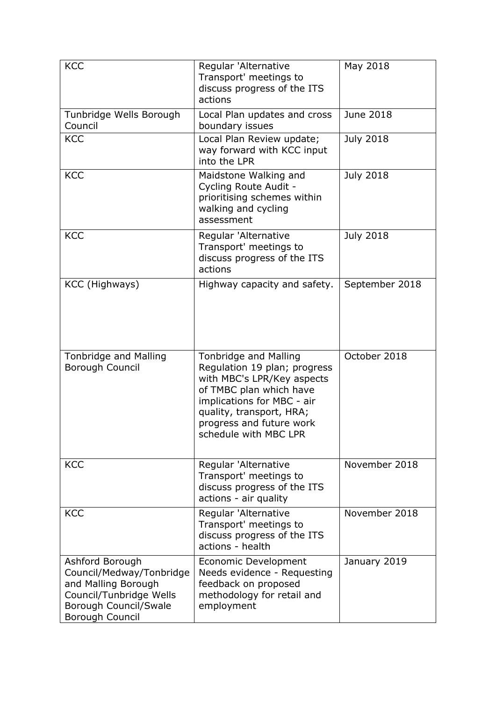| <b>KCC</b>                                                                                                                                | Regular 'Alternative<br>Transport' meetings to<br>discuss progress of the ITS                                                                                                                                                        | May 2018         |
|-------------------------------------------------------------------------------------------------------------------------------------------|--------------------------------------------------------------------------------------------------------------------------------------------------------------------------------------------------------------------------------------|------------------|
|                                                                                                                                           | actions                                                                                                                                                                                                                              |                  |
| Tunbridge Wells Borough<br>Council                                                                                                        | Local Plan updates and cross<br>boundary issues                                                                                                                                                                                      | June 2018        |
| <b>KCC</b>                                                                                                                                | Local Plan Review update;<br>way forward with KCC input<br>into the LPR                                                                                                                                                              | <b>July 2018</b> |
| <b>KCC</b>                                                                                                                                | Maidstone Walking and<br>Cycling Route Audit -<br>prioritising schemes within<br>walking and cycling<br>assessment                                                                                                                   | <b>July 2018</b> |
| <b>KCC</b>                                                                                                                                | Regular 'Alternative<br>Transport' meetings to<br>discuss progress of the ITS<br>actions                                                                                                                                             | <b>July 2018</b> |
| KCC (Highways)                                                                                                                            | Highway capacity and safety.                                                                                                                                                                                                         | September 2018   |
| <b>Tonbridge and Malling</b><br>Borough Council                                                                                           | <b>Tonbridge and Malling</b><br>Regulation 19 plan; progress<br>with MBC's LPR/Key aspects<br>of TMBC plan which have<br>implications for MBC - air<br>quality, transport, HRA;<br>progress and future work<br>schedule with MBC LPR | October 2018     |
| <b>KCC</b>                                                                                                                                | Regular 'Alternative<br>Transport' meetings to<br>discuss progress of the ITS<br>actions - air quality                                                                                                                               | November 2018    |
| <b>KCC</b>                                                                                                                                | Regular 'Alternative<br>Transport' meetings to<br>discuss progress of the ITS<br>actions - health                                                                                                                                    | November 2018    |
| Ashford Borough<br>Council/Medway/Tonbridge<br>and Malling Borough<br>Council/Tunbridge Wells<br>Borough Council/Swale<br>Borough Council | Economic Development<br>Needs evidence - Requesting<br>feedback on proposed<br>methodology for retail and<br>employment                                                                                                              | January 2019     |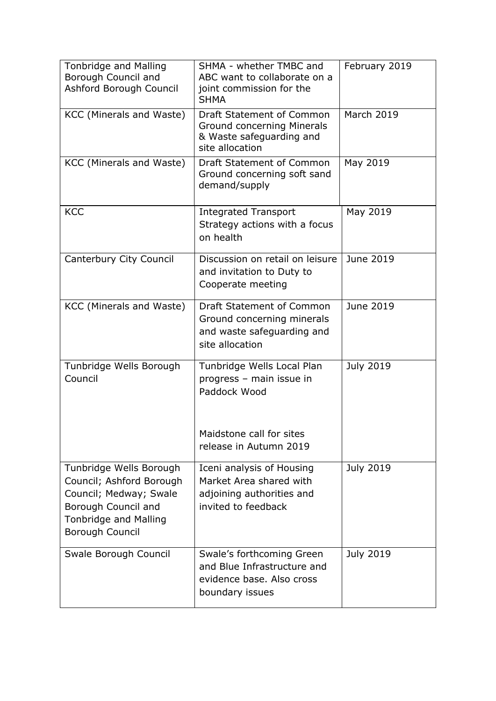| <b>Tonbridge and Malling</b><br>Borough Council and<br>Ashford Borough Council                                                                          | SHMA - whether TMBC and<br>ABC want to collaborate on a<br>joint commission for the<br><b>SHMA</b>       | February 2019     |
|---------------------------------------------------------------------------------------------------------------------------------------------------------|----------------------------------------------------------------------------------------------------------|-------------------|
| KCC (Minerals and Waste)                                                                                                                                | Draft Statement of Common<br>Ground concerning Minerals<br>& Waste safeguarding and<br>site allocation   | <b>March 2019</b> |
| KCC (Minerals and Waste)                                                                                                                                | Draft Statement of Common<br>Ground concerning soft sand<br>demand/supply                                | May 2019          |
| <b>KCC</b>                                                                                                                                              | <b>Integrated Transport</b><br>Strategy actions with a focus<br>on health                                | May 2019          |
| Canterbury City Council                                                                                                                                 | Discussion on retail on leisure<br>and invitation to Duty to<br>Cooperate meeting                        | June 2019         |
| KCC (Minerals and Waste)                                                                                                                                | Draft Statement of Common<br>Ground concerning minerals<br>and waste safeguarding and<br>site allocation | June 2019         |
| Tunbridge Wells Borough<br>Council                                                                                                                      | Tunbridge Wells Local Plan<br>progress - main issue in<br>Paddock Wood                                   | <b>July 2019</b>  |
|                                                                                                                                                         | Maidstone call for sites<br>release in Autumn 2019                                                       |                   |
| Tunbridge Wells Borough<br>Council; Ashford Borough<br>Council; Medway; Swale<br>Borough Council and<br><b>Tonbridge and Malling</b><br>Borough Council | Iceni analysis of Housing<br>Market Area shared with<br>adjoining authorities and<br>invited to feedback | July 2019         |
| Swale Borough Council                                                                                                                                   | Swale's forthcoming Green<br>and Blue Infrastructure and<br>evidence base. Also cross<br>boundary issues | <b>July 2019</b>  |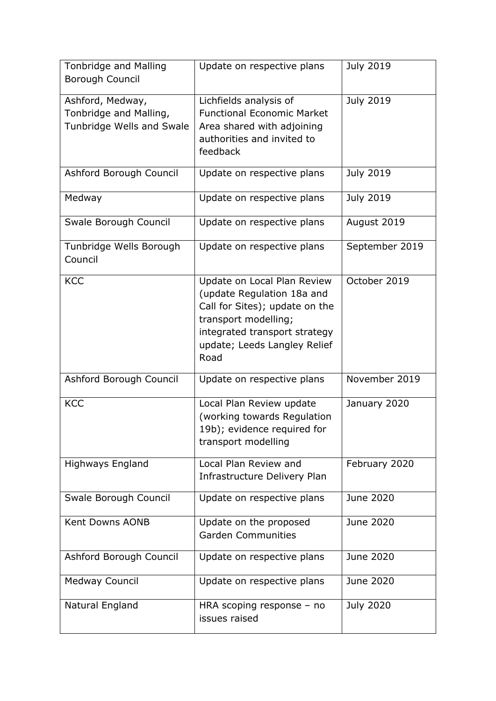| <b>Tonbridge and Malling</b><br><b>Borough Council</b>                  | Update on respective plans                                                                                                                                                                   | <b>July 2019</b> |
|-------------------------------------------------------------------------|----------------------------------------------------------------------------------------------------------------------------------------------------------------------------------------------|------------------|
| Ashford, Medway,<br>Tonbridge and Malling,<br>Tunbridge Wells and Swale | Lichfields analysis of<br><b>Functional Economic Market</b><br>Area shared with adjoining<br>authorities and invited to<br>feedback                                                          | <b>July 2019</b> |
| Ashford Borough Council                                                 | Update on respective plans                                                                                                                                                                   | <b>July 2019</b> |
| Medway                                                                  | Update on respective plans                                                                                                                                                                   | <b>July 2019</b> |
| Swale Borough Council                                                   | Update on respective plans                                                                                                                                                                   | August 2019      |
| Tunbridge Wells Borough<br>Council                                      | Update on respective plans                                                                                                                                                                   | September 2019   |
| <b>KCC</b>                                                              | Update on Local Plan Review<br>(update Regulation 18a and<br>Call for Sites); update on the<br>transport modelling;<br>integrated transport strategy<br>update; Leeds Langley Relief<br>Road | October 2019     |
| Ashford Borough Council                                                 | Update on respective plans                                                                                                                                                                   | November 2019    |
| <b>KCC</b>                                                              | Local Plan Review update<br>(working towards Regulation<br>19b); evidence required for<br>transport modelling                                                                                | January 2020     |
| <b>Highways England</b>                                                 | Local Plan Review and<br>Infrastructure Delivery Plan                                                                                                                                        | February 2020    |
| Swale Borough Council                                                   | Update on respective plans                                                                                                                                                                   | June 2020        |
| <b>Kent Downs AONB</b>                                                  | Update on the proposed<br><b>Garden Communities</b>                                                                                                                                          | June 2020        |
| Ashford Borough Council                                                 | Update on respective plans                                                                                                                                                                   | June 2020        |
| <b>Medway Council</b>                                                   | Update on respective plans                                                                                                                                                                   | June 2020        |
| Natural England                                                         | HRA scoping response $-$ no<br>issues raised                                                                                                                                                 | <b>July 2020</b> |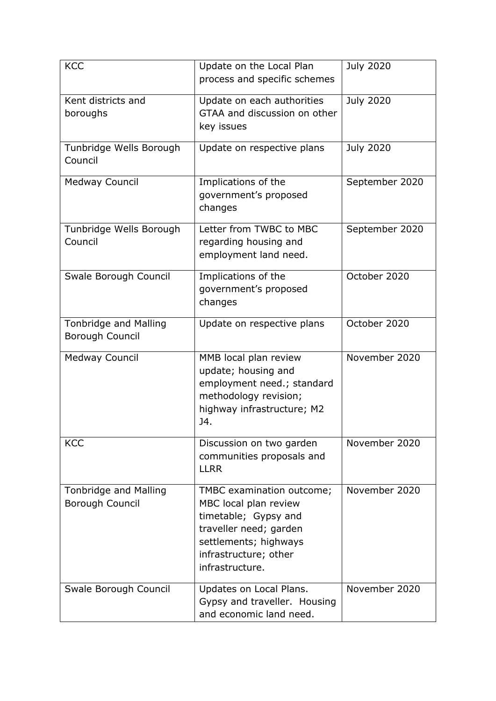| <b>KCC</b>                   | Update on the Local Plan     | <b>July 2020</b> |
|------------------------------|------------------------------|------------------|
|                              | process and specific schemes |                  |
|                              |                              |                  |
| Kent districts and           | Update on each authorities   | <b>July 2020</b> |
| boroughs                     | GTAA and discussion on other |                  |
|                              | key issues                   |                  |
| Tunbridge Wells Borough      | Update on respective plans   | <b>July 2020</b> |
| Council                      |                              |                  |
|                              |                              |                  |
| <b>Medway Council</b>        | Implications of the          | September 2020   |
|                              | government's proposed        |                  |
|                              | changes                      |                  |
| Tunbridge Wells Borough      | Letter from TWBC to MBC      | September 2020   |
| Council                      | regarding housing and        |                  |
|                              | employment land need.        |                  |
|                              |                              |                  |
| Swale Borough Council        | Implications of the          | October 2020     |
|                              | government's proposed        |                  |
|                              | changes                      |                  |
|                              |                              |                  |
| <b>Tonbridge and Malling</b> | Update on respective plans   | October 2020     |
| Borough Council              |                              |                  |
| <b>Medway Council</b>        | MMB local plan review        | November 2020    |
|                              | update; housing and          |                  |
|                              | employment need.; standard   |                  |
|                              | methodology revision;        |                  |
|                              | highway infrastructure; M2   |                  |
|                              | J4.                          |                  |
|                              |                              |                  |
| <b>KCC</b>                   | Discussion on two garden     | November 2020    |
|                              | communities proposals and    |                  |
|                              | <b>LLRR</b>                  |                  |
| <b>Tonbridge and Malling</b> | TMBC examination outcome;    | November 2020    |
| Borough Council              | MBC local plan review        |                  |
|                              | timetable; Gypsy and         |                  |
|                              | traveller need; garden       |                  |
|                              | settlements; highways        |                  |
|                              | infrastructure; other        |                  |
|                              | infrastructure.              |                  |
|                              |                              |                  |
| Swale Borough Council        | Updates on Local Plans.      | November 2020    |
|                              | Gypsy and traveller. Housing |                  |
|                              | and economic land need.      |                  |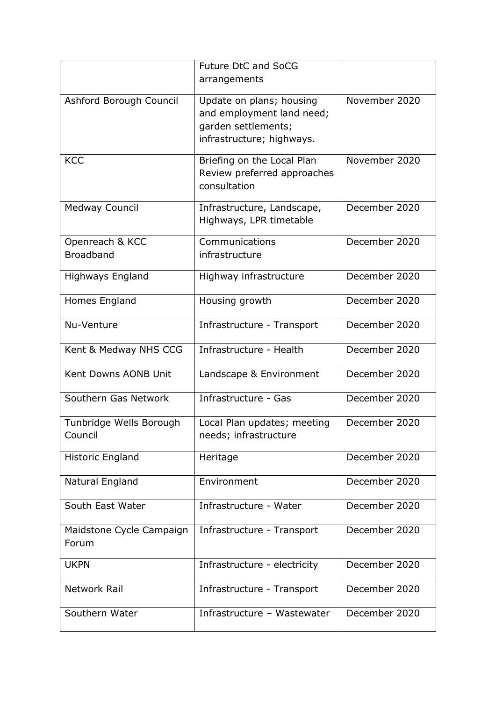|                                     | Future DtC and SoCG<br>arrangements                                                                       |               |
|-------------------------------------|-----------------------------------------------------------------------------------------------------------|---------------|
| Ashford Borough Council             | Update on plans; housing<br>and employment land need;<br>garden settlements;<br>infrastructure; highways. | November 2020 |
| <b>KCC</b>                          | Briefing on the Local Plan<br>Review preferred approaches<br>consultation                                 | November 2020 |
| <b>Medway Council</b>               | Infrastructure, Landscape,<br>Highways, LPR timetable                                                     | December 2020 |
| Openreach & KCC<br><b>Broadband</b> | Communications<br>infrastructure                                                                          | December 2020 |
| <b>Highways England</b>             | Highway infrastructure                                                                                    | December 2020 |
| Homes England                       | Housing growth                                                                                            | December 2020 |
| Nu-Venture                          | Infrastructure - Transport                                                                                | December 2020 |
| Kent & Medway NHS CCG               | Infrastructure - Health                                                                                   | December 2020 |
| Kent Downs AONB Unit                | Landscape & Environment                                                                                   | December 2020 |
| Southern Gas Network                | Infrastructure - Gas                                                                                      | December 2020 |
| Tunbridge Wells Borough<br>Council  | Local Plan updates; meeting<br>needs; infrastructure                                                      | December 2020 |
| Historic England                    | Heritage                                                                                                  | December 2020 |
| Natural England                     | Environment                                                                                               | December 2020 |
| South East Water                    | Infrastructure - Water                                                                                    | December 2020 |
| Maidstone Cycle Campaign<br>Forum   | Infrastructure - Transport                                                                                | December 2020 |
| <b>UKPN</b>                         | Infrastructure - electricity                                                                              | December 2020 |
| Network Rail                        | Infrastructure - Transport                                                                                | December 2020 |
| Southern Water                      | Infrastructure - Wastewater                                                                               | December 2020 |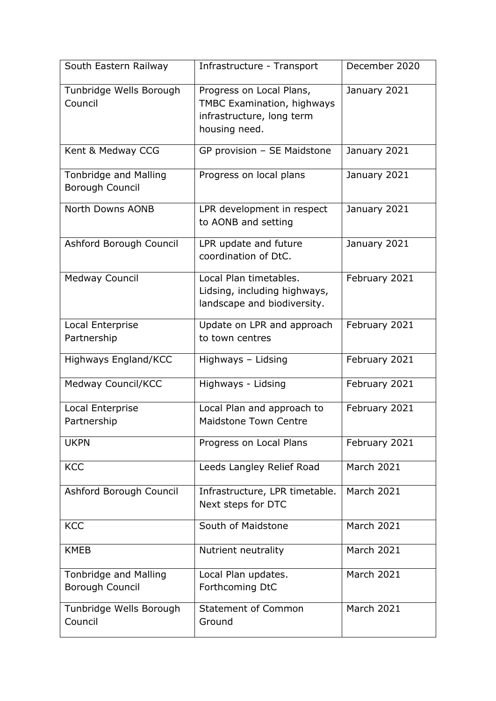| South Eastern Railway                           | Infrastructure - Transport                                                                                  | December 2020     |
|-------------------------------------------------|-------------------------------------------------------------------------------------------------------------|-------------------|
| Tunbridge Wells Borough<br>Council              | Progress on Local Plans,<br><b>TMBC Examination, highways</b><br>infrastructure, long term<br>housing need. | January 2021      |
| Kent & Medway CCG                               | GP provision - SE Maidstone                                                                                 | January 2021      |
| <b>Tonbridge and Malling</b><br>Borough Council | Progress on local plans                                                                                     | January 2021      |
| North Downs AONB                                | LPR development in respect<br>to AONB and setting                                                           | January 2021      |
| Ashford Borough Council                         | LPR update and future<br>coordination of DtC.                                                               | January 2021      |
| <b>Medway Council</b>                           | Local Plan timetables.<br>Lidsing, including highways,<br>landscape and biodiversity.                       | February 2021     |
| Local Enterprise<br>Partnership                 | Update on LPR and approach<br>to town centres                                                               | February 2021     |
| Highways England/KCC                            | Highways - Lidsing                                                                                          | February 2021     |
| Medway Council/KCC                              | Highways - Lidsing                                                                                          | February 2021     |
| Local Enterprise<br>Partnership                 | Local Plan and approach to<br><b>Maidstone Town Centre</b>                                                  | February 2021     |
| <b>UKPN</b>                                     | Progress on Local Plans                                                                                     | February 2021     |
| <b>KCC</b>                                      | Leeds Langley Relief Road                                                                                   | <b>March 2021</b> |
| Ashford Borough Council                         | Infrastructure, LPR timetable.<br>Next steps for DTC                                                        | <b>March 2021</b> |
| <b>KCC</b>                                      | South of Maidstone                                                                                          | March 2021        |
| <b>KMEB</b>                                     | Nutrient neutrality                                                                                         | March 2021        |
| Tonbridge and Malling<br>Borough Council        | Local Plan updates.<br>Forthcoming DtC                                                                      | <b>March 2021</b> |
| Tunbridge Wells Borough<br>Council              | <b>Statement of Common</b><br>Ground                                                                        | <b>March 2021</b> |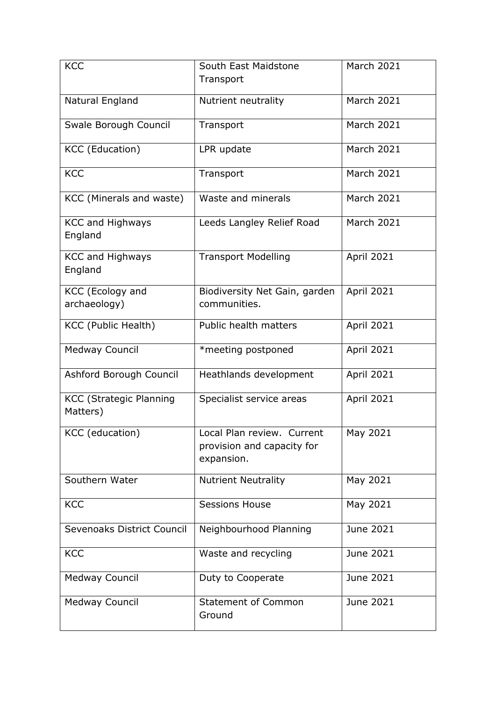| <b>KCC</b>                                 | South East Maidstone                                                   | <b>March 2021</b> |
|--------------------------------------------|------------------------------------------------------------------------|-------------------|
|                                            | Transport                                                              |                   |
| Natural England                            | Nutrient neutrality                                                    | <b>March 2021</b> |
| Swale Borough Council                      | Transport                                                              | <b>March 2021</b> |
| <b>KCC</b> (Education)                     | LPR update                                                             | <b>March 2021</b> |
| <b>KCC</b>                                 | Transport                                                              | <b>March 2021</b> |
| KCC (Minerals and waste)                   | Waste and minerals                                                     | <b>March 2021</b> |
| <b>KCC and Highways</b><br>England         | Leeds Langley Relief Road                                              | <b>March 2021</b> |
| <b>KCC and Highways</b><br>England         | <b>Transport Modelling</b>                                             | April 2021        |
| KCC (Ecology and<br>archaeology)           | Biodiversity Net Gain, garden<br>communities.                          | <b>April 2021</b> |
| KCC (Public Health)                        | Public health matters                                                  | April 2021        |
| <b>Medway Council</b>                      | *meeting postponed                                                     | April 2021        |
| Ashford Borough Council                    | Heathlands development                                                 | April 2021        |
| <b>KCC (Strategic Planning</b><br>Matters) | Specialist service areas                                               | April 2021        |
| KCC (education)                            | Local Plan review. Current<br>provision and capacity for<br>expansion. | May 2021          |
| Southern Water                             | <b>Nutrient Neutrality</b>                                             | May 2021          |
| <b>KCC</b>                                 | <b>Sessions House</b>                                                  | May 2021          |
| Sevenoaks District Council                 | Neighbourhood Planning                                                 | June 2021         |
| <b>KCC</b>                                 | Waste and recycling                                                    | June 2021         |
| <b>Medway Council</b>                      | Duty to Cooperate                                                      | June 2021         |
| <b>Medway Council</b>                      | <b>Statement of Common</b><br>Ground                                   | June 2021         |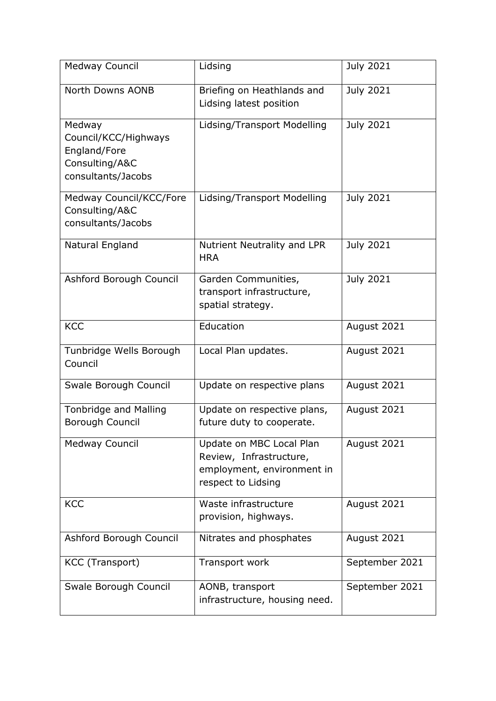| <b>Medway Council</b>                                                                  | Lidsing                                                                                                 | <b>July 2021</b> |
|----------------------------------------------------------------------------------------|---------------------------------------------------------------------------------------------------------|------------------|
| North Downs AONB                                                                       | Briefing on Heathlands and<br>Lidsing latest position                                                   | <b>July 2021</b> |
| Medway<br>Council/KCC/Highways<br>England/Fore<br>Consulting/A&C<br>consultants/Jacobs | Lidsing/Transport Modelling                                                                             | <b>July 2021</b> |
| Medway Council/KCC/Fore<br>Consulting/A&C<br>consultants/Jacobs                        | Lidsing/Transport Modelling                                                                             | <b>July 2021</b> |
| Natural England                                                                        | Nutrient Neutrality and LPR<br><b>HRA</b>                                                               | <b>July 2021</b> |
| Ashford Borough Council                                                                | Garden Communities,<br>transport infrastructure,<br>spatial strategy.                                   | <b>July 2021</b> |
| <b>KCC</b>                                                                             | Education                                                                                               | August 2021      |
| Tunbridge Wells Borough<br>Council                                                     | Local Plan updates.                                                                                     | August 2021      |
| Swale Borough Council                                                                  | Update on respective plans                                                                              | August 2021      |
| <b>Tonbridge and Malling</b><br><b>Borough Council</b>                                 | Update on respective plans,<br>future duty to cooperate.                                                | August 2021      |
| <b>Medway Council</b>                                                                  | Update on MBC Local Plan<br>Review, Infrastructure,<br>employment, environment in<br>respect to Lidsing | August 2021      |
| <b>KCC</b>                                                                             | Waste infrastructure<br>provision, highways.                                                            | August 2021      |
| Ashford Borough Council                                                                | Nitrates and phosphates                                                                                 | August 2021      |
| KCC (Transport)                                                                        | Transport work                                                                                          | September 2021   |
| Swale Borough Council                                                                  | AONB, transport<br>infrastructure, housing need.                                                        | September 2021   |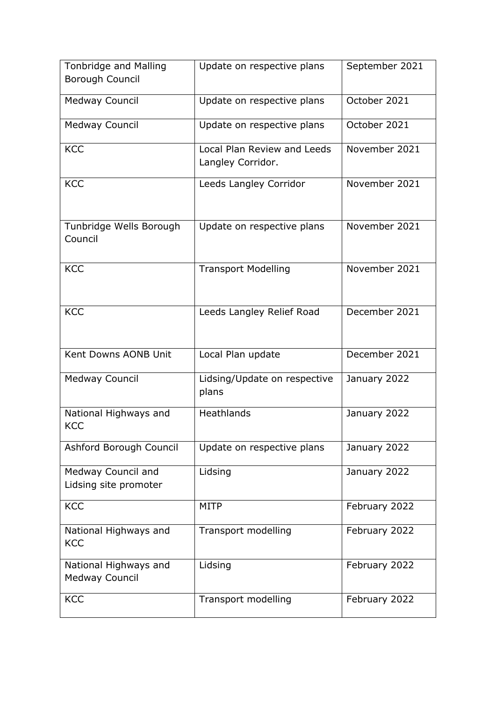| <b>Tonbridge and Malling</b>                | Update on respective plans                       | September 2021 |
|---------------------------------------------|--------------------------------------------------|----------------|
| Borough Council                             |                                                  |                |
| <b>Medway Council</b>                       | Update on respective plans                       | October 2021   |
|                                             |                                                  |                |
| <b>Medway Council</b>                       | Update on respective plans                       | October 2021   |
|                                             |                                                  |                |
| <b>KCC</b>                                  | Local Plan Review and Leeds<br>Langley Corridor. | November 2021  |
|                                             |                                                  |                |
| <b>KCC</b>                                  | Leeds Langley Corridor                           | November 2021  |
|                                             |                                                  |                |
|                                             |                                                  |                |
| Tunbridge Wells Borough                     | Update on respective plans                       | November 2021  |
| Council                                     |                                                  |                |
|                                             |                                                  |                |
| <b>KCC</b>                                  | <b>Transport Modelling</b>                       | November 2021  |
|                                             |                                                  |                |
|                                             |                                                  |                |
| <b>KCC</b>                                  | Leeds Langley Relief Road                        | December 2021  |
|                                             |                                                  |                |
|                                             |                                                  |                |
| Kent Downs AONB Unit                        | Local Plan update                                | December 2021  |
| <b>Medway Council</b>                       | Lidsing/Update on respective                     | January 2022   |
|                                             | plans                                            |                |
|                                             | <b>Heathlands</b>                                |                |
| National Highways and<br><b>KCC</b>         |                                                  | January 2022   |
|                                             |                                                  |                |
| Ashford Borough Council                     | Update on respective plans                       | January 2022   |
|                                             |                                                  |                |
| Medway Council and<br>Lidsing site promoter | Lidsing                                          | January 2022   |
|                                             |                                                  |                |
| <b>KCC</b>                                  | <b>MITP</b>                                      | February 2022  |
|                                             |                                                  |                |
| National Highways and<br><b>KCC</b>         | Transport modelling                              | February 2022  |
|                                             |                                                  |                |
| National Highways and                       | Lidsing                                          | February 2022  |
| <b>Medway Council</b>                       |                                                  |                |
| <b>KCC</b>                                  | Transport modelling                              | February 2022  |
|                                             |                                                  |                |